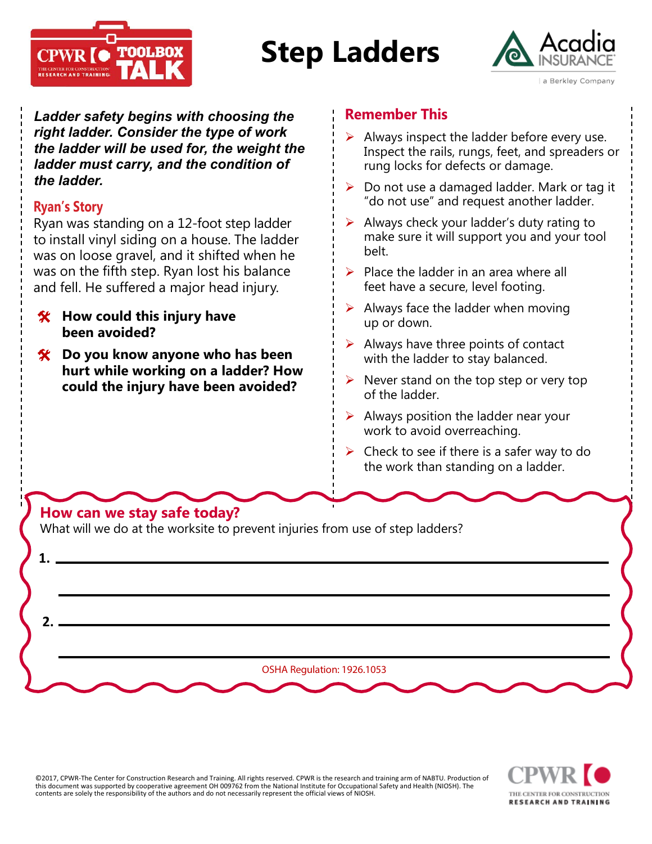

## **Step Ladders**



*Ladder safety begins with choosing the right ladder. Consider the type of work the ladder will be used for, the weight the ladder must carry, and the condition of the ladder.*

## **Ryan's Story**

Ryan was standing on a 12-foot step ladder to install vinyl siding on a house. The ladder was on loose gravel, and it shifted when he was on the fifth step. Ryan lost his balance and fell. He suffered a major head injury.

- **How could this injury have been avoided?**
- **Do you know anyone who has been hurt while working on a ladder? How could the injury have been avoided?**

## **Remember This**

- $\triangleright$  Always inspect the ladder before every use. Inspect the rails, rungs, feet, and spreaders or rung locks for defects or damage.
- $\triangleright$  Do not use a damaged ladder. Mark or tag it "do not use" and request another ladder.
- $\triangleright$  Always check your ladder's duty rating to make sure it will support you and your tool belt.
- $\triangleright$  Place the ladder in an area where all feet have a secure, level footing.
- $\triangleright$  Always face the ladder when moving up or down.
- $\triangleright$  Always have three points of contact with the ladder to stay balanced.
- $\triangleright$  Never stand on the top step or very top of the ladder.
- $\triangleright$  Always position the ladder near your work to avoid overreaching.
- $\triangleright$  Check to see if there is a safer way to do the work than standing on a ladder.



©2017, CPWR-The Center for Construction Research and Training. All rights reserved. CPWR is the research and training arm of NABTU. Production of<br>this document was supported by cooperative agreement OH 009762 from the Nati